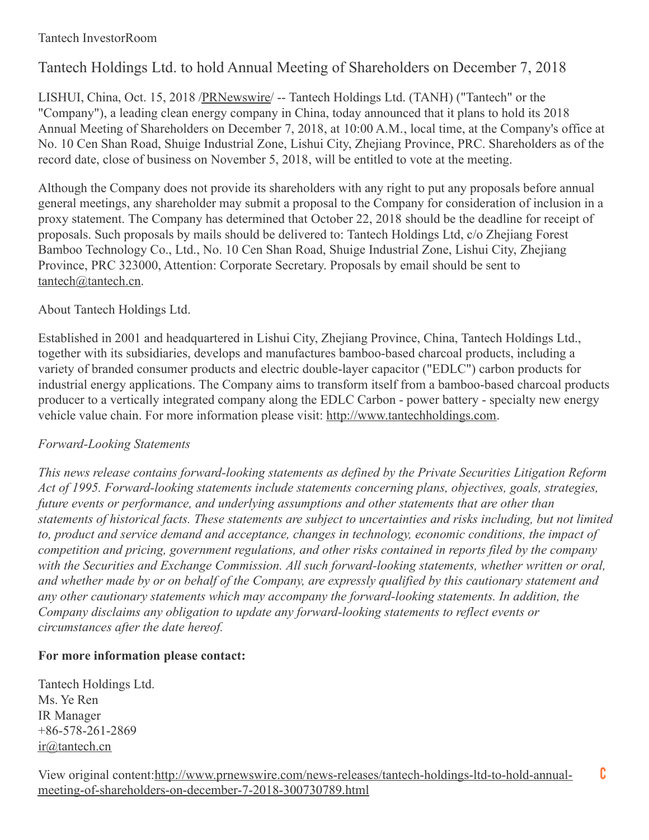## Tantech InvestorRoom

# Tantech Holdings Ltd. to hold Annual Meeting of Shareholders on December 7, 2018

LISHUI, China, Oct. 15, 2018 [/PRNewswire](http://www.prnewswire.com/)/ -- Tantech Holdings Ltd. (TANH) ("Tantech" or the "Company"), a leading clean energy company in China, today announced that it plans to hold its 2018 Annual Meeting of Shareholders on December 7, 2018, at 10:00 A.M., local time, at the Company's office at No. 10 Cen Shan Road, Shuige Industrial Zone, Lishui City, Zhejiang Province, PRC. Shareholders as of the record date, close of business on November 5, 2018, will be entitled to vote at the meeting.

Although the Company does not provide its shareholders with any right to put any proposals before annual general meetings, any shareholder may submit a proposal to the Company for consideration of inclusion in a proxy statement. The Company has determined that October 22, 2018 should be the deadline for receipt of proposals. Such proposals by mails should be delivered to: Tantech Holdings Ltd, c/o Zhejiang Forest Bamboo Technology Co., Ltd., No. 10 Cen Shan Road, Shuige Industrial Zone, Lishui City, Zhejiang Province, PRC 323000, Attention: Corporate Secretary. Proposals by email should be sent to [tantech@tantech.cn](mailto:tantech@tantech.cn).

## About Tantech Holdings Ltd.

Established in 2001 and headquartered in Lishui City, Zhejiang Province, China, Tantech Holdings Ltd., together with its subsidiaries, develops and manufactures bamboo-based charcoal products, including a variety of branded consumer products and electric double-layer capacitor ("EDLC") carbon products for industrial energy applications. The Company aims to transform itself from a bamboo-based charcoal products producer to a vertically integrated company along the EDLC Carbon - power battery - specialty new energy vehicle value chain. For more information please visit: [http://www.tantechholdings.com](http://www.tantechholdings.com/).

### *Forward-Looking Statements*

*This news release contains forward-looking statements as defined by the Private Securities Litigation Reform Act of 1995. Forward-looking statements include statements concerning plans, objectives, goals, strategies, future events or performance, and underlying assumptions and other statements that are other than* statements of historical facts. These statements are subject to uncertainties and risks including, but not limited *to, product and service demand and acceptance, changes in technology, economic conditions, the impact of competition and pricing, government regulations, and other risks contained in reports filed by the company with the Securities and Exchange Commission. All such forward-looking statements, whether written or oral,* and whether made by or on behalf of the Company, are expressly qualified by this cautionary statement and *any other cautionary statements which may accompany the forward-looking statements. In addition, the Company disclaims any obligation to update any forward-looking statements to reflect events or circumstances after the date hereof.*

### **For more information please contact:**

Tantech Holdings Ltd. Ms. Ye Ren IR Manager +86-578-261-2869 [ir@tantech.cn](mailto:ir@tantech.cn)